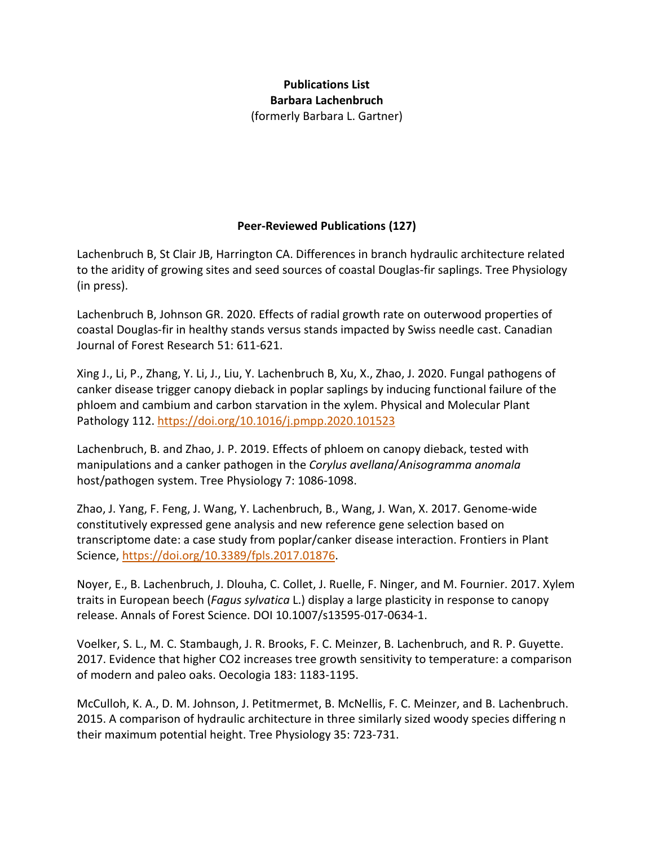# **Publications List Barbara Lachenbruch** (formerly Barbara L. Gartner)

# **Peer-Reviewed Publications (127)**

Lachenbruch B, St Clair JB, Harrington CA. Differences in branch hydraulic architecture related to the aridity of growing sites and seed sources of coastal Douglas-fir saplings. Tree Physiology (in press).

Lachenbruch B, Johnson GR. 2020. Effects of radial growth rate on outerwood properties of coastal Douglas-fir in healthy stands versus stands impacted by Swiss needle cast. Canadian Journal of Forest Research 51: 611-621.

Xing J., Li, P., Zhang, Y. Li, J., Liu, Y. Lachenbruch B, Xu, X., Zhao, J. 2020. Fungal pathogens of canker disease trigger canopy dieback in poplar saplings by inducing functional failure of the phloem and cambium and carbon starvation in the xylem. Physical and Molecular Plant Pathology 112.<https://doi.org/10.1016/j.pmpp.2020.101523>

Lachenbruch, B. and Zhao, J. P. 2019. Effects of phloem on canopy dieback, tested with manipulations and a canker pathogen in the *Corylus avellana*/*Anisogramma anomala*  host/pathogen system. Tree Physiology 7: 1086-1098.

Zhao, J. Yang, F. Feng, J. Wang, Y. Lachenbruch, B., Wang, J. Wan, X. 2017. Genome-wide constitutively expressed gene analysis and new reference gene selection based on transcriptome date: a case study from poplar/canker disease interaction. Frontiers in Plant Science, [https://doi.org/10.3389/fpls.2017.01876.](https://doi.org/10.3389/fpls.2017.01876)

Noyer, E., B. Lachenbruch, J. Dlouha, C. Collet, J. Ruelle, F. Ninger, and M. Fournier. 2017. Xylem traits in European beech (*Fagus sylvatica* L.) display a large plasticity in response to canopy release. Annals of Forest Science. DOI 10.1007/s13595-017-0634-1.

Voelker, S. L., M. C. Stambaugh, J. R. Brooks, F. C. Meinzer, B. Lachenbruch, and R. P. Guyette. 2017. Evidence that higher CO2 increases tree growth sensitivity to temperature: a comparison of modern and paleo oaks. Oecologia 183: 1183-1195.

McCulloh, K. A., D. M. Johnson, J. Petitmermet, B. McNellis, F. C. Meinzer, and B. Lachenbruch. 2015. A comparison of hydraulic architecture in three similarly sized woody species differing n their maximum potential height. Tree Physiology 35: 723-731.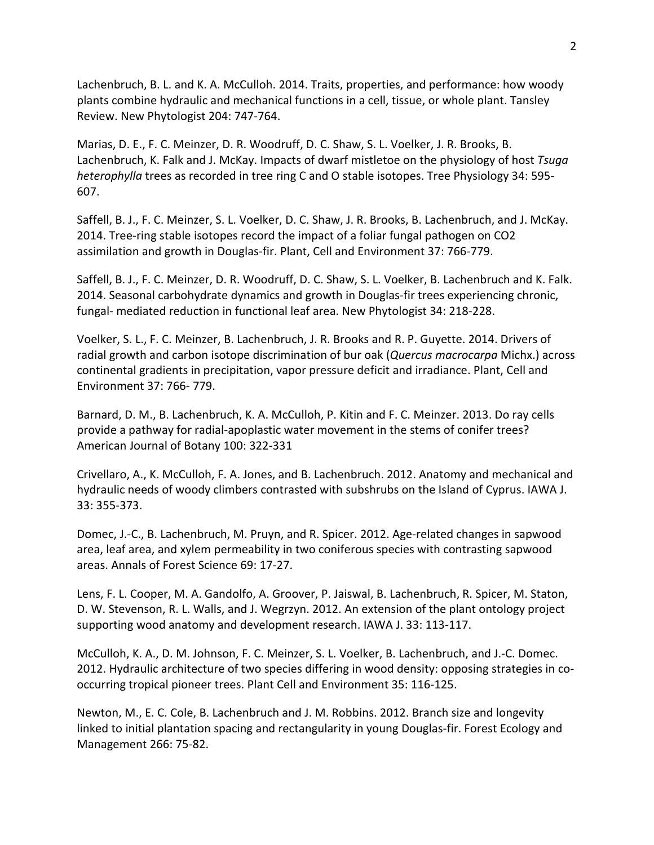Lachenbruch, B. L. and K. A. McCulloh. 2014. Traits, properties, and performance: how woody plants combine hydraulic and mechanical functions in a cell, tissue, or whole plant. Tansley Review. New Phytologist 204: 747-764.

Marias, D. E., F. C. Meinzer, D. R. Woodruff, D. C. Shaw, S. L. Voelker, J. R. Brooks, B. Lachenbruch, K. Falk and J. McKay. Impacts of dwarf mistletoe on the physiology of host *Tsuga heterophylla* trees as recorded in tree ring C and O stable isotopes. Tree Physiology 34: 595- 607.

Saffell, B. J., F. C. Meinzer, S. L. Voelker, D. C. Shaw, J. R. Brooks, B. Lachenbruch, and J. McKay. 2014. Tree-ring stable isotopes record the impact of a foliar fungal pathogen on CO2 assimilation and growth in Douglas-fir. Plant, Cell and Environment 37: 766-779.

Saffell, B. J., F. C. Meinzer, D. R. Woodruff, D. C. Shaw, S. L. Voelker, B. Lachenbruch and K. Falk. 2014. Seasonal carbohydrate dynamics and growth in Douglas-fir trees experiencing chronic, fungal- mediated reduction in functional leaf area. New Phytologist 34: 218-228.

Voelker, S. L., F. C. Meinzer, B. Lachenbruch, J. R. Brooks and R. P. Guyette. 2014. Drivers of radial growth and carbon isotope discrimination of bur oak (*Quercus macrocarpa* Michx.) across continental gradients in precipitation, vapor pressure deficit and irradiance. Plant, Cell and Environment 37: 766- 779.

Barnard, D. M., B. Lachenbruch, K. A. McCulloh, P. Kitin and F. C. Meinzer. 2013. Do ray cells provide a pathway for radial-apoplastic water movement in the stems of conifer trees? American Journal of Botany 100: 322-331

Crivellaro, A., K. McCulloh, F. A. Jones, and B. Lachenbruch. 2012. Anatomy and mechanical and hydraulic needs of woody climbers contrasted with subshrubs on the Island of Cyprus. IAWA J. 33: 355-373.

Domec, J.-C., B. Lachenbruch, M. Pruyn, and R. Spicer. 2012. Age-related changes in sapwood area, leaf area, and xylem permeability in two coniferous species with contrasting sapwood areas. Annals of Forest Science 69: 17-27.

Lens, F. L. Cooper, M. A. Gandolfo, A. Groover, P. Jaiswal, B. Lachenbruch, R. Spicer, M. Staton, D. W. Stevenson, R. L. Walls, and J. Wegrzyn. 2012. An extension of the plant ontology project supporting wood anatomy and development research. IAWA J. 33: 113-117.

McCulloh, K. A., D. M. Johnson, F. C. Meinzer, S. L. Voelker, B. Lachenbruch, and J.-C. Domec. 2012. Hydraulic architecture of two species differing in wood density: opposing strategies in cooccurring tropical pioneer trees. Plant Cell and Environment 35: 116-125.

Newton, M., E. C. Cole, B. Lachenbruch and J. M. Robbins. 2012. Branch size and longevity linked to initial plantation spacing and rectangularity in young Douglas-fir. Forest Ecology and Management 266: 75-82.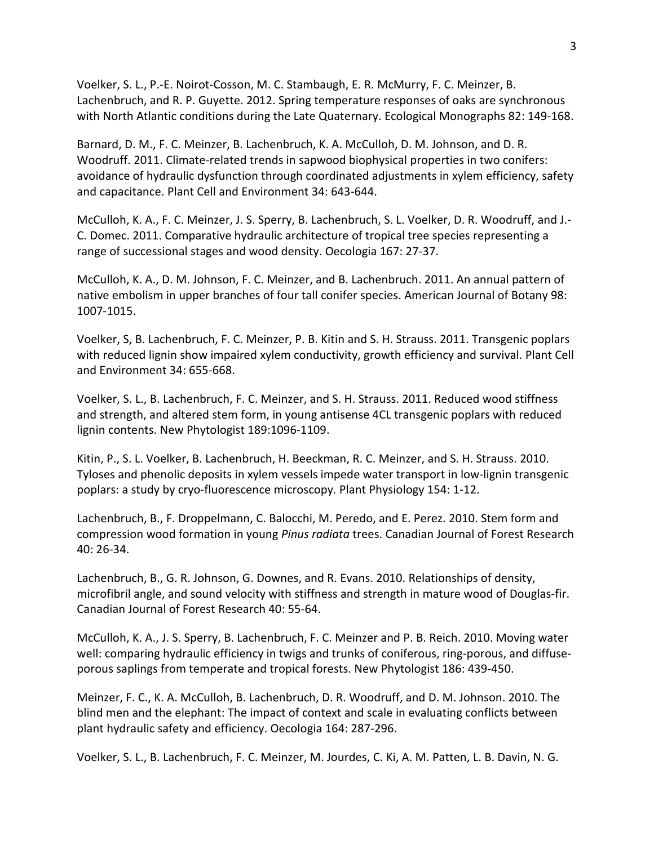Voelker, S. L., P.-E. Noirot-Cosson, M. C. Stambaugh, E. R. McMurry, F. C. Meinzer, B. Lachenbruch, and R. P. Guyette. 2012. Spring temperature responses of oaks are synchronous with North Atlantic conditions during the Late Quaternary. Ecological Monographs 82: 149-168.

Barnard, D. M., F. C. Meinzer, B. Lachenbruch, K. A. McCulloh, D. M. Johnson, and D. R. Woodruff. 2011. Climate-related trends in sapwood biophysical properties in two conifers: avoidance of hydraulic dysfunction through coordinated adjustments in xylem efficiency, safety and capacitance. Plant Cell and Environment 34: 643-644.

McCulloh, K. A., F. C. Meinzer, J. S. Sperry, B. Lachenbruch, S. L. Voelker, D. R. Woodruff, and J.- C. Domec. 2011. Comparative hydraulic architecture of tropical tree species representing a range of successional stages and wood density. Oecologia 167: 27-37.

McCulloh, K. A., D. M. Johnson, F. C. Meinzer, and B. Lachenbruch. 2011. An annual pattern of native embolism in upper branches of four tall conifer species. American Journal of Botany 98: 1007-1015.

Voelker, S, B. Lachenbruch, F. C. Meinzer, P. B. Kitin and S. H. Strauss. 2011. Transgenic poplars with reduced lignin show impaired xylem conductivity, growth efficiency and survival. Plant Cell and Environment 34: 655-668.

Voelker, S. L., B. Lachenbruch, F. C. Meinzer, and S. H. Strauss. 2011. Reduced wood stiffness and strength, and altered stem form, in young antisense 4CL transgenic poplars with reduced lignin contents. New Phytologist 189:1096-1109.

Kitin, P., S. L. Voelker, B. Lachenbruch, H. Beeckman, R. C. Meinzer, and S. H. Strauss. 2010. Tyloses and phenolic deposits in xylem vessels impede water transport in low-lignin transgenic poplars: a study by cryo-fluorescence microscopy. Plant Physiology 154: 1-12.

Lachenbruch, B., F. Droppelmann, C. Balocchi, M. Peredo, and E. Perez. 2010. Stem form and compression wood formation in young *Pinus radiata* trees. Canadian Journal of Forest Research 40: 26-34.

Lachenbruch, B., G. R. Johnson, G. Downes, and R. Evans. 2010. Relationships of density, microfibril angle, and sound velocity with stiffness and strength in mature wood of Douglas-fir. Canadian Journal of Forest Research 40: 55-64.

McCulloh, K. A., J. S. Sperry, B. Lachenbruch, F. C. Meinzer and P. B. Reich. 2010. Moving water well: comparing hydraulic efficiency in twigs and trunks of coniferous, ring-porous, and diffuseporous saplings from temperate and tropical forests. New Phytologist 186: 439-450.

Meinzer, F. C., K. A. McCulloh, B. Lachenbruch, D. R. Woodruff, and D. M. Johnson. 2010. The blind men and the elephant: The impact of context and scale in evaluating conflicts between plant hydraulic safety and efficiency. Oecologia 164: 287-296.

Voelker, S. L., B. Lachenbruch, F. C. Meinzer, M. Jourdes, C. Ki, A. M. Patten, L. B. Davin, N. G.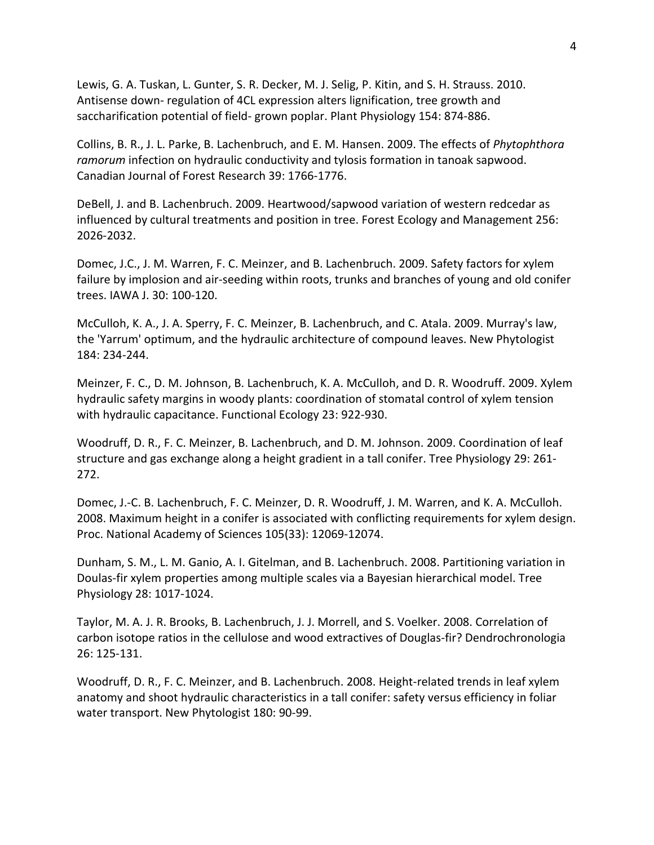Lewis, G. A. Tuskan, L. Gunter, S. R. Decker, M. J. Selig, P. Kitin, and S. H. Strauss. 2010. Antisense down- regulation of 4CL expression alters lignification, tree growth and saccharification potential of field- grown poplar. Plant Physiology 154: 874-886.

Collins, B. R., J. L. Parke, B. Lachenbruch, and E. M. Hansen. 2009. The effects of *Phytophthora ramorum* infection on hydraulic conductivity and tylosis formation in tanoak sapwood. Canadian Journal of Forest Research 39: 1766-1776.

DeBell, J. and B. Lachenbruch. 2009. Heartwood/sapwood variation of western redcedar as influenced by cultural treatments and position in tree. Forest Ecology and Management 256: 2026-2032.

Domec, J.C., J. M. Warren, F. C. Meinzer, and B. Lachenbruch. 2009. Safety factors for xylem failure by implosion and air-seeding within roots, trunks and branches of young and old conifer trees. IAWA J. 30: 100-120.

McCulloh, K. A., J. A. Sperry, F. C. Meinzer, B. Lachenbruch, and C. Atala. 2009. Murray's law, the 'Yarrum' optimum, and the hydraulic architecture of compound leaves. New Phytologist 184: 234-244.

Meinzer, F. C., D. M. Johnson, B. Lachenbruch, K. A. McCulloh, and D. R. Woodruff. 2009. Xylem hydraulic safety margins in woody plants: coordination of stomatal control of xylem tension with hydraulic capacitance. Functional Ecology 23: 922-930.

Woodruff, D. R., F. C. Meinzer, B. Lachenbruch, and D. M. Johnson. 2009. Coordination of leaf structure and gas exchange along a height gradient in a tall conifer. Tree Physiology 29: 261- 272.

Domec, J.-C. B. Lachenbruch, F. C. Meinzer, D. R. Woodruff, J. M. Warren, and K. A. McCulloh. 2008. Maximum height in a conifer is associated with conflicting requirements for xylem design. Proc. National Academy of Sciences 105(33): 12069-12074.

Dunham, S. M., L. M. Ganio, A. I. Gitelman, and B. Lachenbruch. 2008. Partitioning variation in Doulas-fir xylem properties among multiple scales via a Bayesian hierarchical model. Tree Physiology 28: 1017-1024.

Taylor, M. A. J. R. Brooks, B. Lachenbruch, J. J. Morrell, and S. Voelker. 2008. Correlation of carbon isotope ratios in the cellulose and wood extractives of Douglas-fir? Dendrochronologia 26: 125-131.

Woodruff, D. R., F. C. Meinzer, and B. Lachenbruch. 2008. Height-related trends in leaf xylem anatomy and shoot hydraulic characteristics in a tall conifer: safety versus efficiency in foliar water transport. New Phytologist 180: 90-99.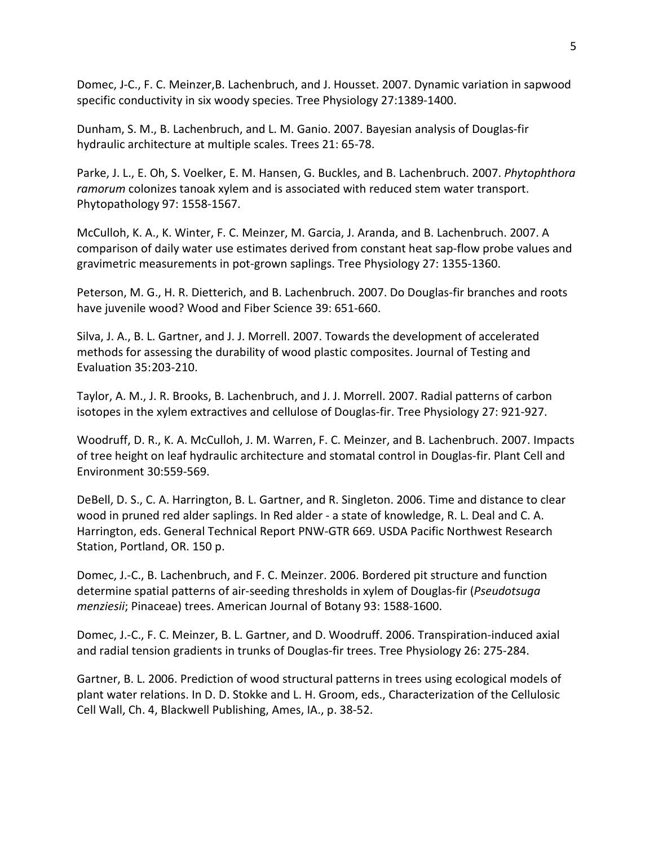Domec, J-C., F. C. Meinzer,B. Lachenbruch, and J. Housset. 2007. Dynamic variation in sapwood specific conductivity in six woody species. Tree Physiology 27:1389-1400.

Dunham, S. M., B. Lachenbruch, and L. M. Ganio. 2007. Bayesian analysis of Douglas-fir hydraulic architecture at multiple scales. Trees 21: 65-78.

Parke, J. L., E. Oh, S. Voelker, E. M. Hansen, G. Buckles, and B. Lachenbruch. 2007. *Phytophthora ramorum* colonizes tanoak xylem and is associated with reduced stem water transport. Phytopathology 97: 1558-1567.

McCulloh, K. A., K. Winter, F. C. Meinzer, M. Garcia, J. Aranda, and B. Lachenbruch. 2007. A comparison of daily water use estimates derived from constant heat sap-flow probe values and gravimetric measurements in pot-grown saplings. Tree Physiology 27: 1355-1360.

Peterson, M. G., H. R. Dietterich, and B. Lachenbruch. 2007. Do Douglas-fir branches and roots have juvenile wood? Wood and Fiber Science 39: 651-660.

Silva, J. A., B. L. Gartner, and J. J. Morrell. 2007. Towards the development of accelerated methods for assessing the durability of wood plastic composites. Journal of Testing and Evaluation 35:203-210.

Taylor, A. M., J. R. Brooks, B. Lachenbruch, and J. J. Morrell. 2007. Radial patterns of carbon isotopes in the xylem extractives and cellulose of Douglas-fir. Tree Physiology 27: 921-927.

Woodruff, D. R., K. A. McCulloh, J. M. Warren, F. C. Meinzer, and B. Lachenbruch. 2007. Impacts of tree height on leaf hydraulic architecture and stomatal control in Douglas-fir. Plant Cell and Environment 30:559-569.

DeBell, D. S., C. A. Harrington, B. L. Gartner, and R. Singleton. 2006. Time and distance to clear wood in pruned red alder saplings. In Red alder - a state of knowledge, R. L. Deal and C. A. Harrington, eds. General Technical Report PNW-GTR 669. USDA Pacific Northwest Research Station, Portland, OR. 150 p.

Domec, J.-C., B. Lachenbruch, and F. C. Meinzer. 2006. Bordered pit structure and function determine spatial patterns of air-seeding thresholds in xylem of Douglas-fir (*Pseudotsuga menziesii*; Pinaceae) trees. American Journal of Botany 93: 1588-1600.

Domec, J.-C., F. C. Meinzer, B. L. Gartner, and D. Woodruff. 2006. Transpiration-induced axial and radial tension gradients in trunks of Douglas-fir trees. Tree Physiology 26: 275-284.

Gartner, B. L. 2006. Prediction of wood structural patterns in trees using ecological models of plant water relations. In D. D. Stokke and L. H. Groom, eds., Characterization of the Cellulosic Cell Wall, Ch. 4, Blackwell Publishing, Ames, IA., p. 38-52.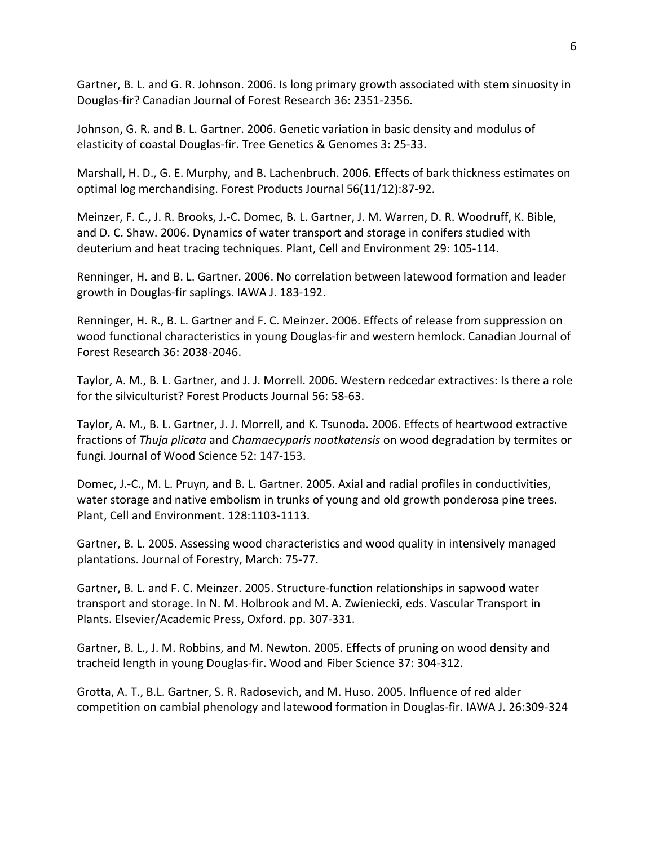Gartner, B. L. and G. R. Johnson. 2006. Is long primary growth associated with stem sinuosity in Douglas-fir? Canadian Journal of Forest Research 36: 2351-2356.

Johnson, G. R. and B. L. Gartner. 2006. Genetic variation in basic density and modulus of elasticity of coastal Douglas-fir. Tree Genetics & Genomes 3: 25-33.

Marshall, H. D., G. E. Murphy, and B. Lachenbruch. 2006. Effects of bark thickness estimates on optimal log merchandising. Forest Products Journal 56(11/12):87-92.

Meinzer, F. C., J. R. Brooks, J.-C. Domec, B. L. Gartner, J. M. Warren, D. R. Woodruff, K. Bible, and D. C. Shaw. 2006. Dynamics of water transport and storage in conifers studied with deuterium and heat tracing techniques. Plant, Cell and Environment 29: 105-114.

Renninger, H. and B. L. Gartner. 2006. No correlation between latewood formation and leader growth in Douglas-fir saplings. IAWA J. 183-192.

Renninger, H. R., B. L. Gartner and F. C. Meinzer. 2006. Effects of release from suppression on wood functional characteristics in young Douglas-fir and western hemlock. Canadian Journal of Forest Research 36: 2038-2046.

Taylor, A. M., B. L. Gartner, and J. J. Morrell. 2006. Western redcedar extractives: Is there a role for the silviculturist? Forest Products Journal 56: 58-63.

Taylor, A. M., B. L. Gartner, J. J. Morrell, and K. Tsunoda. 2006. Effects of heartwood extractive fractions of *Thuja plicata* and *Chamaecyparis nootkatensis* on wood degradation by termites or fungi. Journal of Wood Science 52: 147-153.

Domec, J.-C., M. L. Pruyn, and B. L. Gartner. 2005. Axial and radial profiles in conductivities, water storage and native embolism in trunks of young and old growth ponderosa pine trees. Plant, Cell and Environment. 128:1103-1113.

Gartner, B. L. 2005. Assessing wood characteristics and wood quality in intensively managed plantations. Journal of Forestry, March: 75-77.

Gartner, B. L. and F. C. Meinzer. 2005. Structure-function relationships in sapwood water transport and storage. In N. M. Holbrook and M. A. Zwieniecki, eds. Vascular Transport in Plants. Elsevier/Academic Press, Oxford. pp. 307-331.

Gartner, B. L., J. M. Robbins, and M. Newton. 2005. Effects of pruning on wood density and tracheid length in young Douglas-fir. Wood and Fiber Science 37: 304-312.

Grotta, A. T., B.L. Gartner, S. R. Radosevich, and M. Huso. 2005. Influence of red alder competition on cambial phenology and latewood formation in Douglas-fir. IAWA J. 26:309-324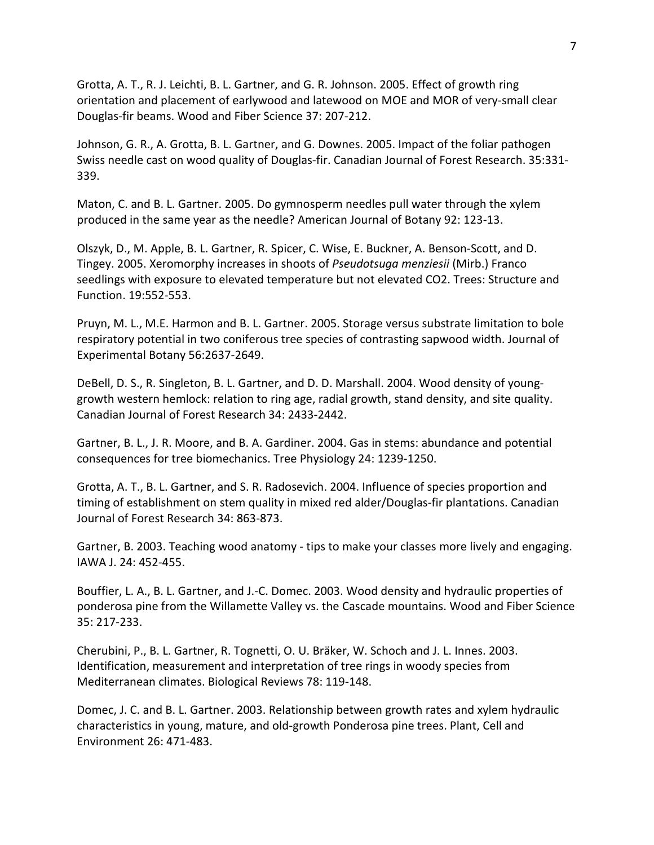Grotta, A. T., R. J. Leichti, B. L. Gartner, and G. R. Johnson. 2005. Effect of growth ring orientation and placement of earlywood and latewood on MOE and MOR of very-small clear Douglas-fir beams. Wood and Fiber Science 37: 207-212.

Johnson, G. R., A. Grotta, B. L. Gartner, and G. Downes. 2005. Impact of the foliar pathogen Swiss needle cast on wood quality of Douglas-fir. Canadian Journal of Forest Research. 35:331- 339.

Maton, C. and B. L. Gartner. 2005. Do gymnosperm needles pull water through the xylem produced in the same year as the needle? American Journal of Botany 92: 123-13.

Olszyk, D., M. Apple, B. L. Gartner, R. Spicer, C. Wise, E. Buckner, A. Benson-Scott, and D. Tingey. 2005. Xeromorphy increases in shoots of *Pseudotsuga menziesii* (Mirb.) Franco seedlings with exposure to elevated temperature but not elevated CO2. Trees: Structure and Function. 19:552-553.

Pruyn, M. L., M.E. Harmon and B. L. Gartner. 2005. Storage versus substrate limitation to bole respiratory potential in two coniferous tree species of contrasting sapwood width. Journal of Experimental Botany 56:2637-2649.

DeBell, D. S., R. Singleton, B. L. Gartner, and D. D. Marshall. 2004. Wood density of younggrowth western hemlock: relation to ring age, radial growth, stand density, and site quality. Canadian Journal of Forest Research 34: 2433-2442.

Gartner, B. L., J. R. Moore, and B. A. Gardiner. 2004. Gas in stems: abundance and potential consequences for tree biomechanics. Tree Physiology 24: 1239-1250.

Grotta, A. T., B. L. Gartner, and S. R. Radosevich. 2004. Influence of species proportion and timing of establishment on stem quality in mixed red alder/Douglas-fir plantations. Canadian Journal of Forest Research 34: 863-873.

Gartner, B. 2003. Teaching wood anatomy - tips to make your classes more lively and engaging. IAWA J. 24: 452-455.

Bouffier, L. A., B. L. Gartner, and J.-C. Domec. 2003. Wood density and hydraulic properties of ponderosa pine from the Willamette Valley vs. the Cascade mountains. Wood and Fiber Science 35: 217-233.

Cherubini, P., B. L. Gartner, R. Tognetti, O. U. Bräker, W. Schoch and J. L. Innes. 2003. Identification, measurement and interpretation of tree rings in woody species from Mediterranean climates. Biological Reviews 78: 119-148.

Domec, J. C. and B. L. Gartner. 2003. Relationship between growth rates and xylem hydraulic characteristics in young, mature, and old-growth Ponderosa pine trees. Plant, Cell and Environment 26: 471-483.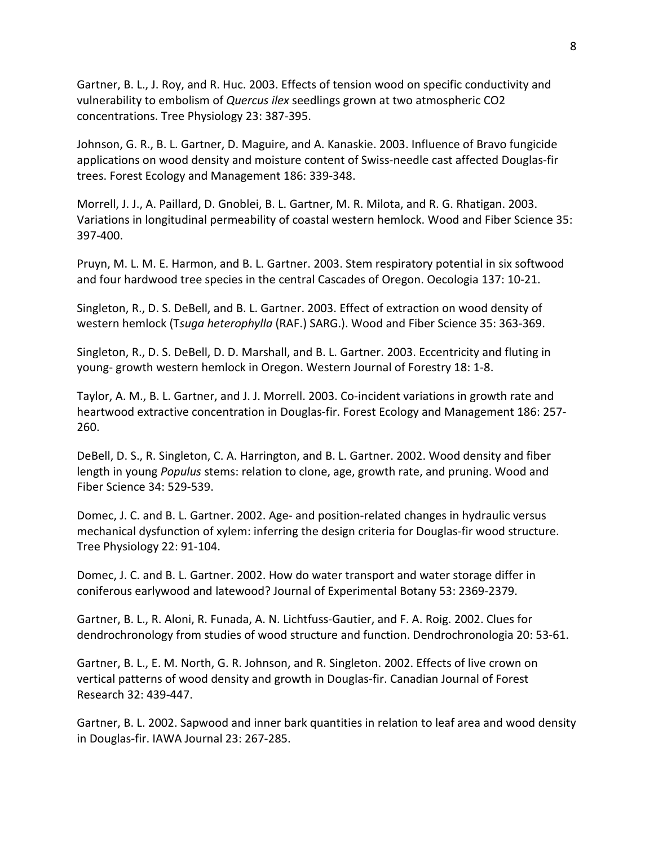Gartner, B. L., J. Roy, and R. Huc. 2003. Effects of tension wood on specific conductivity and vulnerability to embolism of *Quercus ilex* seedlings grown at two atmospheric CO2 concentrations. Tree Physiology 23: 387-395.

Johnson, G. R., B. L. Gartner, D. Maguire, and A. Kanaskie. 2003. Influence of Bravo fungicide applications on wood density and moisture content of Swiss-needle cast affected Douglas-fir trees. Forest Ecology and Management 186: 339-348.

Morrell, J. J., A. Paillard, D. Gnoblei, B. L. Gartner, M. R. Milota, and R. G. Rhatigan. 2003. Variations in longitudinal permeability of coastal western hemlock. Wood and Fiber Science 35: 397-400.

Pruyn, M. L. M. E. Harmon, and B. L. Gartner. 2003. Stem respiratory potential in six softwood and four hardwood tree species in the central Cascades of Oregon. Oecologia 137: 10-21.

Singleton, R., D. S. DeBell, and B. L. Gartner. 2003. Effect of extraction on wood density of western hemlock (T*suga heterophylla* (RAF.) SARG.). Wood and Fiber Science 35: 363-369.

Singleton, R., D. S. DeBell, D. D. Marshall, and B. L. Gartner. 2003. Eccentricity and fluting in young- growth western hemlock in Oregon. Western Journal of Forestry 18: 1-8.

Taylor, A. M., B. L. Gartner, and J. J. Morrell. 2003. Co-incident variations in growth rate and heartwood extractive concentration in Douglas-fir. Forest Ecology and Management 186: 257- 260.

DeBell, D. S., R. Singleton, C. A. Harrington, and B. L. Gartner. 2002. Wood density and fiber length in young *Populus* stems: relation to clone, age, growth rate, and pruning. Wood and Fiber Science 34: 529-539.

Domec, J. C. and B. L. Gartner. 2002. Age- and position-related changes in hydraulic versus mechanical dysfunction of xylem: inferring the design criteria for Douglas-fir wood structure. Tree Physiology 22: 91-104.

Domec, J. C. and B. L. Gartner. 2002. How do water transport and water storage differ in coniferous earlywood and latewood? Journal of Experimental Botany 53: 2369-2379.

Gartner, B. L., R. Aloni, R. Funada, A. N. Lichtfuss-Gautier, and F. A. Roig. 2002. Clues for dendrochronology from studies of wood structure and function. Dendrochronologia 20: 53-61.

Gartner, B. L., E. M. North, G. R. Johnson, and R. Singleton. 2002. Effects of live crown on vertical patterns of wood density and growth in Douglas-fir. Canadian Journal of Forest Research 32: 439-447.

Gartner, B. L. 2002. Sapwood and inner bark quantities in relation to leaf area and wood density in Douglas-fir. IAWA Journal 23: 267-285.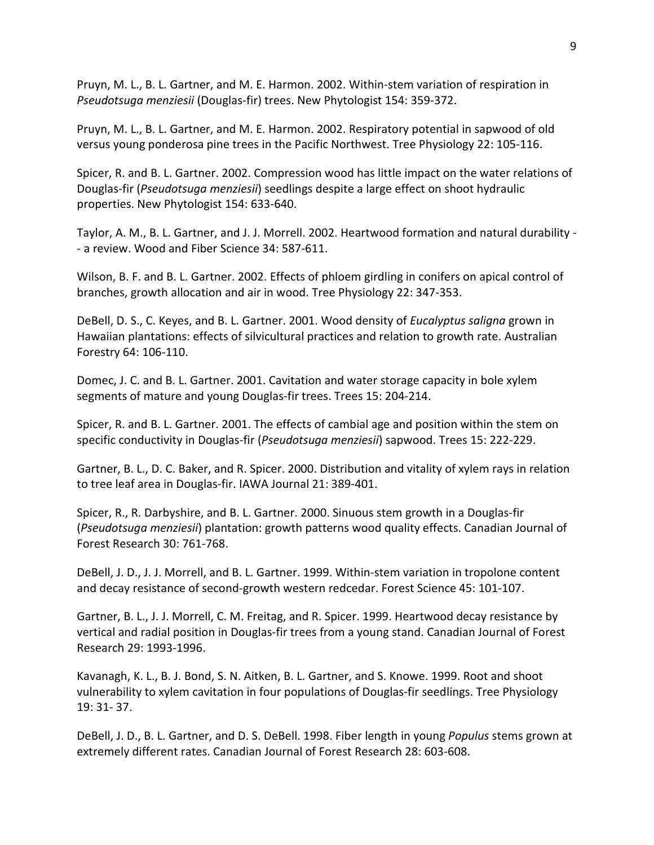Pruyn, M. L., B. L. Gartner, and M. E. Harmon. 2002. Within-stem variation of respiration in *Pseudotsuga menziesii* (Douglas-fir) trees. New Phytologist 154: 359-372.

Pruyn, M. L., B. L. Gartner, and M. E. Harmon. 2002. Respiratory potential in sapwood of old versus young ponderosa pine trees in the Pacific Northwest. Tree Physiology 22: 105-116.

Spicer, R. and B. L. Gartner. 2002. Compression wood has little impact on the water relations of Douglas-fir (*Pseudotsuga menziesii*) seedlings despite a large effect on shoot hydraulic properties. New Phytologist 154: 633-640.

Taylor, A. M., B. L. Gartner, and J. J. Morrell. 2002. Heartwood formation and natural durability - - a review. Wood and Fiber Science 34: 587-611.

Wilson, B. F. and B. L. Gartner. 2002. Effects of phloem girdling in conifers on apical control of branches, growth allocation and air in wood. Tree Physiology 22: 347-353.

DeBell, D. S., C. Keyes, and B. L. Gartner. 2001. Wood density of *Eucalyptus saligna* grown in Hawaiian plantations: effects of silvicultural practices and relation to growth rate. Australian Forestry 64: 106-110.

Domec, J. C. and B. L. Gartner. 2001. Cavitation and water storage capacity in bole xylem segments of mature and young Douglas-fir trees. Trees 15: 204-214.

Spicer, R. and B. L. Gartner. 2001. The effects of cambial age and position within the stem on specific conductivity in Douglas-fir (*Pseudotsuga menziesii*) sapwood. Trees 15: 222-229.

Gartner, B. L., D. C. Baker, and R. Spicer. 2000. Distribution and vitality of xylem rays in relation to tree leaf area in Douglas-fir. IAWA Journal 21: 389-401.

Spicer, R., R. Darbyshire, and B. L. Gartner. 2000. Sinuous stem growth in a Douglas-fir (*Pseudotsuga menziesii*) plantation: growth patterns wood quality effects. Canadian Journal of Forest Research 30: 761-768.

DeBell, J. D., J. J. Morrell, and B. L. Gartner. 1999. Within-stem variation in tropolone content and decay resistance of second-growth western redcedar. Forest Science 45: 101-107.

Gartner, B. L., J. J. Morrell, C. M. Freitag, and R. Spicer. 1999. Heartwood decay resistance by vertical and radial position in Douglas-fir trees from a young stand. Canadian Journal of Forest Research 29: 1993-1996.

Kavanagh, K. L., B. J. Bond, S. N. Aitken, B. L. Gartner, and S. Knowe. 1999. Root and shoot vulnerability to xylem cavitation in four populations of Douglas-fir seedlings. Tree Physiology 19: 31- 37.

DeBell, J. D., B. L. Gartner, and D. S. DeBell. 1998. Fiber length in young *Populus* stems grown at extremely different rates. Canadian Journal of Forest Research 28: 603-608.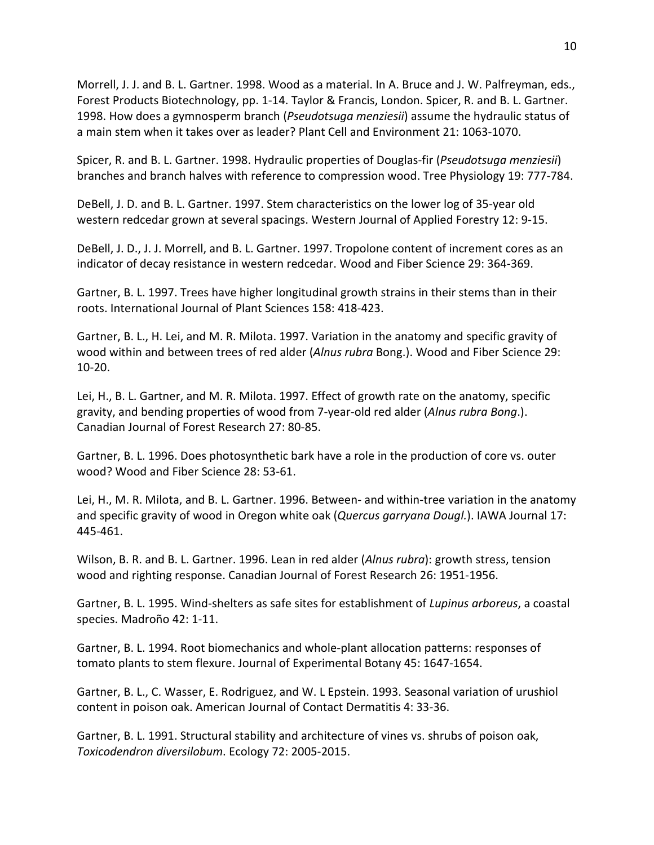Morrell, J. J. and B. L. Gartner. 1998. Wood as a material. In A. Bruce and J. W. Palfreyman, eds., Forest Products Biotechnology, pp. 1-14. Taylor & Francis, London. Spicer, R. and B. L. Gartner. 1998. How does a gymnosperm branch (*Pseudotsuga menziesii*) assume the hydraulic status of a main stem when it takes over as leader? Plant Cell and Environment 21: 1063-1070.

Spicer, R. and B. L. Gartner. 1998. Hydraulic properties of Douglas-fir (*Pseudotsuga menziesii*) branches and branch halves with reference to compression wood. Tree Physiology 19: 777-784.

DeBell, J. D. and B. L. Gartner. 1997. Stem characteristics on the lower log of 35-year old western redcedar grown at several spacings. Western Journal of Applied Forestry 12: 9-15.

DeBell, J. D., J. J. Morrell, and B. L. Gartner. 1997. Tropolone content of increment cores as an indicator of decay resistance in western redcedar. Wood and Fiber Science 29: 364-369.

Gartner, B. L. 1997. Trees have higher longitudinal growth strains in their stems than in their roots. International Journal of Plant Sciences 158: 418-423.

Gartner, B. L., H. Lei, and M. R. Milota. 1997. Variation in the anatomy and specific gravity of wood within and between trees of red alder (*Alnus rubra* Bong.). Wood and Fiber Science 29: 10-20.

Lei, H., B. L. Gartner, and M. R. Milota. 1997. Effect of growth rate on the anatomy, specific gravity, and bending properties of wood from 7-year-old red alder (*Alnus rubra Bong*.). Canadian Journal of Forest Research 27: 80-85.

Gartner, B. L. 1996. Does photosynthetic bark have a role in the production of core vs. outer wood? Wood and Fiber Science 28: 53-61.

Lei, H., M. R. Milota, and B. L. Gartner. 1996. Between- and within-tree variation in the anatomy and specific gravity of wood in Oregon white oak (*Quercus garryana Dougl.*). IAWA Journal 17: 445-461.

Wilson, B. R. and B. L. Gartner. 1996. Lean in red alder (*Alnus rubra*): growth stress, tension wood and righting response. Canadian Journal of Forest Research 26: 1951-1956.

Gartner, B. L. 1995. Wind-shelters as safe sites for establishment of *Lupinus arboreus*, a coastal species. Madroño 42: 1-11.

Gartner, B. L. 1994. Root biomechanics and whole-plant allocation patterns: responses of tomato plants to stem flexure. Journal of Experimental Botany 45: 1647-1654.

Gartner, B. L., C. Wasser, E. Rodriguez, and W. L Epstein. 1993. Seasonal variation of urushiol content in poison oak. American Journal of Contact Dermatitis 4: 33-36.

Gartner, B. L. 1991. Structural stability and architecture of vines vs. shrubs of poison oak, *Toxicodendron diversilobum*. Ecology 72: 2005-2015.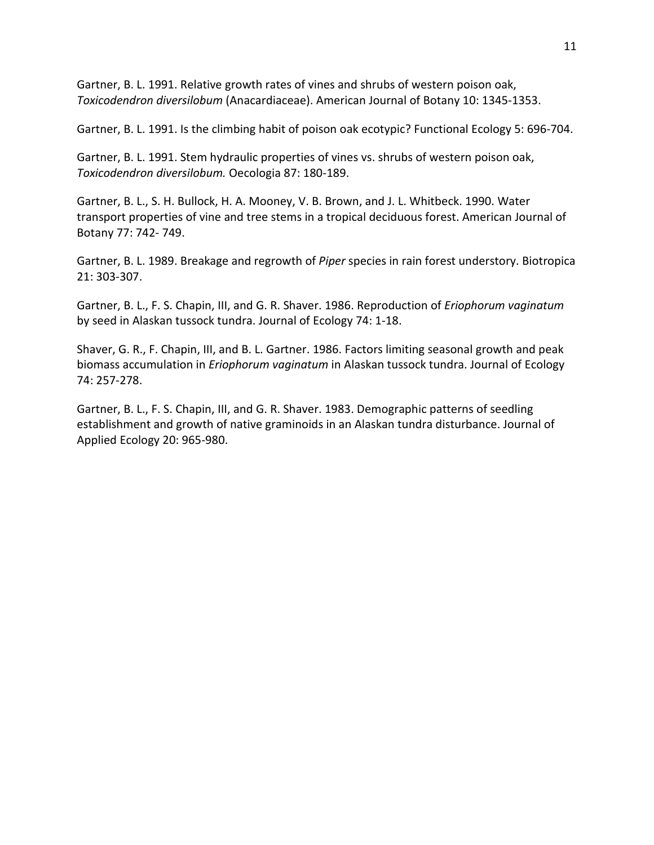Gartner, B. L. 1991. Relative growth rates of vines and shrubs of western poison oak, *Toxicodendron diversilobum* (Anacardiaceae). American Journal of Botany 10: 1345-1353.

Gartner, B. L. 1991. Is the climbing habit of poison oak ecotypic? Functional Ecology 5: 696-704.

Gartner, B. L. 1991. Stem hydraulic properties of vines vs. shrubs of western poison oak, *Toxicodendron diversilobum.* Oecologia 87: 180-189.

Gartner, B. L., S. H. Bullock, H. A. Mooney, V. B. Brown, and J. L. Whitbeck. 1990. Water transport properties of vine and tree stems in a tropical deciduous forest. American Journal of Botany 77: 742- 749.

Gartner, B. L. 1989. Breakage and regrowth of *Piper* species in rain forest understory. Biotropica 21: 303-307.

Gartner, B. L., F. S. Chapin, III, and G. R. Shaver. 1986. Reproduction of *Eriophorum vaginatum*  by seed in Alaskan tussock tundra. Journal of Ecology 74: 1-18.

Shaver, G. R., F. Chapin, III, and B. L. Gartner. 1986. Factors limiting seasonal growth and peak biomass accumulation in *Eriophorum vaginatum* in Alaskan tussock tundra. Journal of Ecology 74: 257-278.

Gartner, B. L., F. S. Chapin, III, and G. R. Shaver. 1983. Demographic patterns of seedling establishment and growth of native graminoids in an Alaskan tundra disturbance. Journal of Applied Ecology 20: 965-980.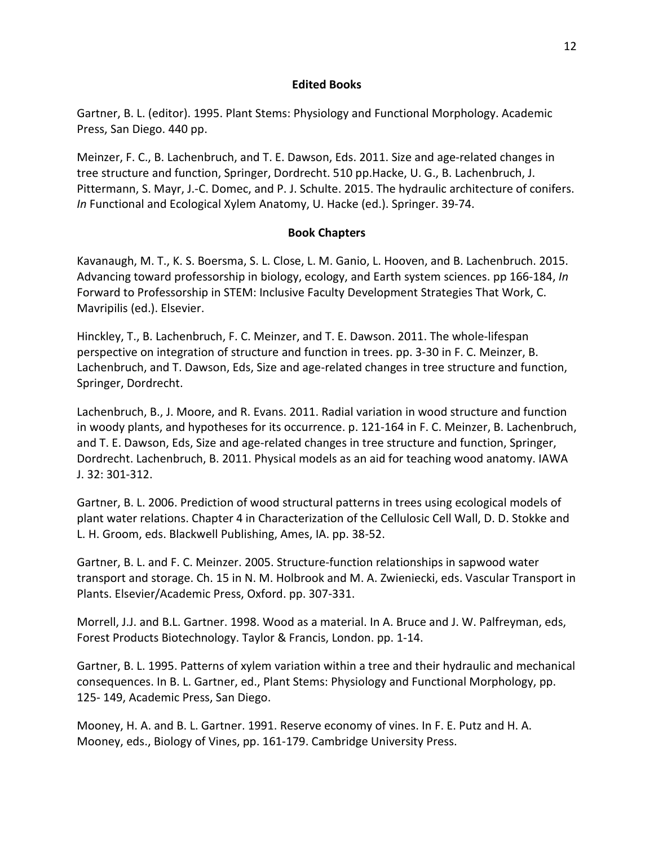#### **Edited Books**

Gartner, B. L. (editor). 1995. Plant Stems: Physiology and Functional Morphology. Academic Press, San Diego. 440 pp.

Meinzer, F. C., B. Lachenbruch, and T. E. Dawson, Eds. 2011. Size and age-related changes in tree structure and function, Springer, Dordrecht. 510 pp.Hacke, U. G., B. Lachenbruch, J. Pittermann, S. Mayr, J.-C. Domec, and P. J. Schulte. 2015. The hydraulic architecture of conifers. *In* Functional and Ecological Xylem Anatomy, U. Hacke (ed.). Springer. 39-74.

### **Book Chapters**

Kavanaugh, M. T., K. S. Boersma, S. L. Close, L. M. Ganio, L. Hooven, and B. Lachenbruch. 2015. Advancing toward professorship in biology, ecology, and Earth system sciences. pp 166-184, *In*  Forward to Professorship in STEM: Inclusive Faculty Development Strategies That Work, C. Mavripilis (ed.). Elsevier.

Hinckley, T., B. Lachenbruch, F. C. Meinzer, and T. E. Dawson. 2011. The whole-lifespan perspective on integration of structure and function in trees. pp. 3-30 in F. C. Meinzer, B. Lachenbruch, and T. Dawson, Eds, Size and age-related changes in tree structure and function, Springer, Dordrecht.

Lachenbruch, B., J. Moore, and R. Evans. 2011. Radial variation in wood structure and function in woody plants, and hypotheses for its occurrence. p. 121-164 in F. C. Meinzer, B. Lachenbruch, and T. E. Dawson, Eds, Size and age-related changes in tree structure and function, Springer, Dordrecht. Lachenbruch, B. 2011. Physical models as an aid for teaching wood anatomy. IAWA J. 32: 301-312.

Gartner, B. L. 2006. Prediction of wood structural patterns in trees using ecological models of plant water relations. Chapter 4 in Characterization of the Cellulosic Cell Wall, D. D. Stokke and L. H. Groom, eds. Blackwell Publishing, Ames, IA. pp. 38-52.

Gartner, B. L. and F. C. Meinzer. 2005. Structure-function relationships in sapwood water transport and storage. Ch. 15 in N. M. Holbrook and M. A. Zwieniecki, eds. Vascular Transport in Plants. Elsevier/Academic Press, Oxford. pp. 307-331.

Morrell, J.J. and B.L. Gartner. 1998. Wood as a material. In A. Bruce and J. W. Palfreyman, eds, Forest Products Biotechnology. Taylor & Francis, London. pp. 1-14.

Gartner, B. L. 1995. Patterns of xylem variation within a tree and their hydraulic and mechanical consequences. In B. L. Gartner, ed., Plant Stems: Physiology and Functional Morphology, pp. 125- 149, Academic Press, San Diego.

Mooney, H. A. and B. L. Gartner. 1991. Reserve economy of vines. In F. E. Putz and H. A. Mooney, eds., Biology of Vines, pp. 161-179. Cambridge University Press.